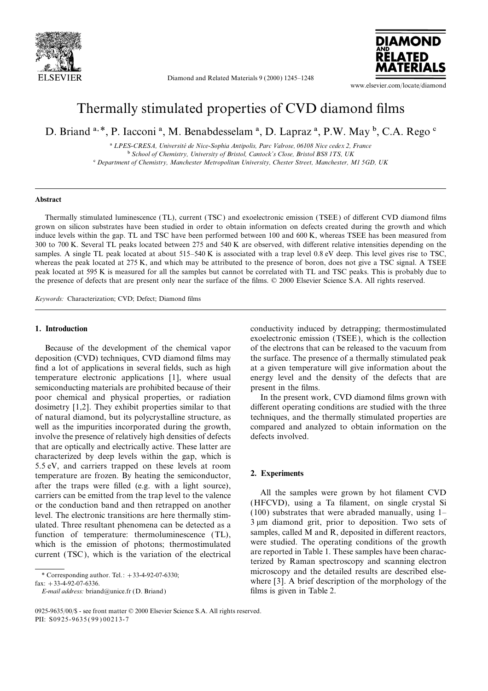

Diamond and Related Materials 9 (2000) 1245–1248



www.elsevier.com/locate/diamond

# Thermally stimulated properties of CVD diamond films

D. Briand <sup>a, \*</sup>, P. Iacconi<sup>a</sup>, M. Benabdesselam<sup>a</sup>, D. Lapraz<sup>a</sup>, P.W. May <sup>b</sup>, C.A. Rego <sup>c</sup>

a *LPES-CRESA, Universite´ de Nice-Sophia Antipolis, Parc Valrose, 06108 Nice cedex 2, France* b *School of Chemistry, University of Bristol, Cantock's Close, Bristol BS8 1TS, UK* c *Department of Chemistry, Manchester Metropolitan University, Chester Street, Manchester, M1 5GD, UK*

### **Abstract**

Thermally stimulated luminescence (TL), current (TSC ) and exoelectronic emission (TSEE) of different CVD diamond films grown on silicon substrates have been studied in order to obtain information on defects created during the growth and which induce levels within the gap. TL and TSC have been performed between 100 and 600 K, whereas TSEE has been measured from 300 to 700 K. Several TL peaks located between 275 and 540 K are observed, with different relative intensities depending on the samples. A single TL peak located at about 515–540 K is associated with a trap level 0.8 eV deep. This level gives rise to TSC, whereas the peak located at 275 K, and which may be attributed to the presence of boron, does not give a TSC signal. A TSEE peak located at 595 K is measured for all the samples but cannot be correlated with TL and TSC peaks. This is probably due to the presence of defects that are present only near the surface of the films. © 2000 Elsevier Science S.A. All rights reserved.

*Keywords:* Characterization; CVD; Defect; Diamond films

deposition (CVD) techniques, CVD diamond films may the surface. The presence of a thermally stimulated peak find a lot of applications in several fields, such as high at a given temperature will give information about the temperature electronic applications [1], where usual energy level and the density of the defects that are semiconducting materials are prohibited because of their present in the films. poor chemical and physical properties, or radiation In the present work, CVD diamond films grown with dosimetry [1,2]. They exhibit properties similar to that different operating conditions are studied with the three of natural diamond, but its polycrystalline structure, as techniques, and the thermally stimulated properties are well as the impurities incorporated during the growth, compared and analyzed to obtain information on the involve the presence of relatively high densities of defects defects involved. that are optically and electrically active. These latter are characterized by deep levels within the gap, which is 5.5 eV, and carriers trapped on these levels at room<br>temperature are frozen. By heating the semiconductor, 2. **Experiments** after the traps were filled (e.g. with a light source), carriers can be emitted from the trap level to the valence All the samples were grown by hot filament CVD<br>or the conduction band and then retrapped on another (HFCVD), using a Ta filament, on single crystal Si or the conduction band and then retrapped on another<br>level. The electronic transitions are here thermally stim-<br>ulated. Three resultant phenomena can be detected as a<br>function of temperature: thermoluminescence (TL),<br>which which is the emission of photons; thermostimulated were studied. The operating conditions of the growth<br>current (TSC) which is the variation of the electrical are reported in Table 1. These samples have been charac-

**1. Introduction** conductivity induced by detrapping; thermostimulated exoelectronic emission (TSEE), which is the collection Because of the development of the chemical vapor of the electrons that can be released to the vacuum from

current (TSC), which is the variation of the electrical are reported in Table 1. These samples have been charac-<br>terized by Raman spectroscopy and scanning electron microscopy and the detailed results are described else- \* Corresponding author. Tel.: <sup>+</sup>33-4-92-07-6330; Fax: +33-4-92-07-6336.<br>
Fax: +33-4-92-07-6336.<br>
E-mail address: briand@unice.fr (D. Briand) Where [3]. A brief description of the morphology of the films is given in Table 2.

*E-mail address:* briand@unice.fr (D. Briand)

<sup>0925-9635</sup>/00/\$ - see front matter © 2000 Elsevier Science S.A. All rights reserved. PII: S0925-9635(99)00213-7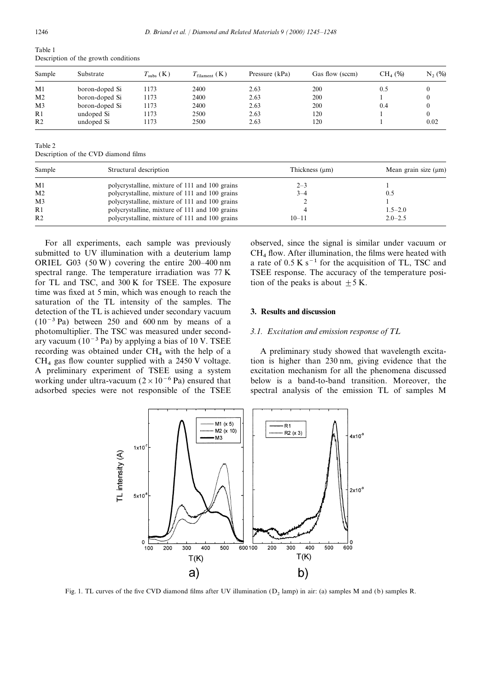| Table 1 |                                      |  |
|---------|--------------------------------------|--|
|         | Description of the growth conditions |  |

| Sample         | Substrate      | $T_{\text{subs}}\left(\text{K}\right)$ | $T_{\text{filament}}\left(\text{K}\right)$ | Pressure (kPa) | Gas flow (sccm) | $CH4(\%)$ | $N_2(\%)$ |
|----------------|----------------|----------------------------------------|--------------------------------------------|----------------|-----------------|-----------|-----------|
| M1             | boron-doped Si | 1173                                   | 2400                                       | 2.63           | 200             | 0.5       |           |
| M <sub>2</sub> | boron-doped Si | 1173                                   | 2400                                       | 2.63           | 200             |           |           |
| M <sub>3</sub> | boron-doped Si | 1173                                   | 2400                                       | 2.63           | 200             | 0.4       |           |
| R1             | undoped Si     | 1173                                   | 2500                                       | 2.63           | 120             |           |           |
| R <sub>2</sub> | undoped Si     | 1173                                   | 2500                                       | 2.63           | 120             |           | 0.02      |

Table 2

Description of the CVD diamond films

| Sample         | Structural description                         | Thickness $(\mu m)$ | Mean grain size $(\mu m)$ |  |
|----------------|------------------------------------------------|---------------------|---------------------------|--|
| M1             | polycrystalline, mixture of 111 and 100 grains | $2 - 3$             |                           |  |
| M <sub>2</sub> | polycrystalline, mixture of 111 and 100 grains | $3 - 4$             | 0.5                       |  |
| M <sub>3</sub> | polycrystalline, mixture of 111 and 100 grains |                     |                           |  |
| R1             | polycrystalline, mixture of 111 and 100 grains |                     | $1.5 - 2.0$               |  |
| R <sub>2</sub> | polycrystalline, mixture of 111 and 100 grains | $10 - 11$           | $2.0 - 2.5$               |  |

For all experiments, each sample was previously observed, since the signal is similar under vacuum or submitted to UV illumination with a deuterium lamp  $CH_4$  flow. After illumination, the films were heated with ORIEL G03 (50 W) covering the entire 200–400 nm a rate of 0.5 K s<sup>-1</sup> for the acquisition of TL, TSC and spectral range. The temperature irradiation was 77 K TSEE response. The accuracy of the temperature posifor TL and TSC, and 300 K for TSEE. The exposure tion of the peaks is about  $\pm 5$  K. time was fixed at 5 min, which was enough to reach the saturation of the TL intensity of the samples. The detection of the TL is achieved under secondary vacuum **3. Results and discussion** (10−3 Pa) between 250 and 600 nm by means of a photomultiplier. The TSC was measured under second- *3.1. Excitation and emission response of TL* ary vacuum ( $10^{-3}$  Pa) by applying a bias of 10 V. TSEE recording was obtained under  $CH_4$  with the help of a A preliminary study showed that wavelength excita-<br>CH<sub>4</sub> gas flow counter supplied with a 2450 V voltage. tion is higher than 230 nm, giving evidence that the A preliminary experiment of TSEE using a system working under ultra-vacuum  $(2 \times 10^{-6}$  Pa) ensured that below is a band-to-band transition. Moreover, the adsorbed species were not responsible of the TSEE spectral analysis of the emission TL of samples M

a rate of  $0.5 K s^{-1}$  for the acquisition of TL, TSC and

tion is higher than 230 nm, giving evidence that the excitation mechanism for all the phenomena discussed.



Fig. 1. TL curves of the five CVD diamond films after UV illumination  $(D_2)$  lamp) in air: (a) samples M and (b) samples R.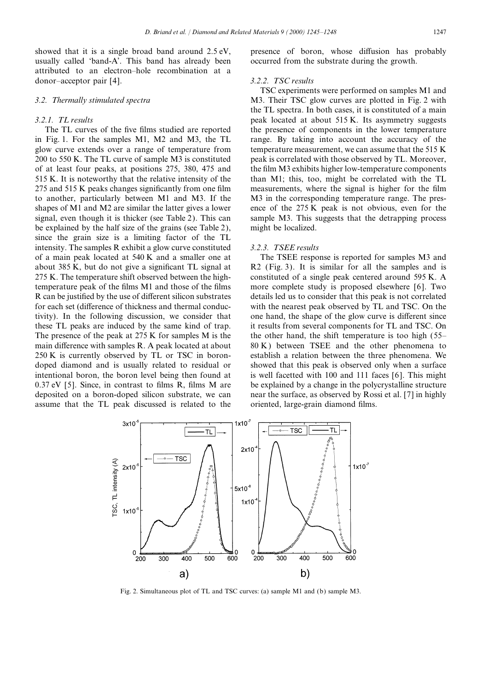showed that it is a single broad band around 2.5 eV, presence of boron, whose diffusion has probably usually called 'band-A'. This band has already been occurred from the substrate during the growth. attributed to an electron–hole recombination at a donor–acceptor pair [4]. *3.2.2. TSC results*

in Fig. 1. For the samples M1, M2 and M3, the TL range. By taking into account the accuracy of the glow curve extends over a range of temperature from temperature measurement, we can assume that the 515 K 200 to 550 K. The TL curve of sample M3 is constituted peak is correlated with those observed by TL. Moreover, of at least four peaks, at positions 275, 380, 475 and the film M3 exhibits higher low-temperature components 515 K. It is noteworthy that the relative intensity of the than M1; this, too, might be correlated with the TL 275 and 515 K peaks changes significantly from one film measurements, where the signal is higher for the film to another, particularly between M1 and M3. If the M3 in the corresponding temperature range. The presshapes of M1 and M2 are similar the latter gives a lower ence of the 275 K peak is not obvious, even for the signal, even though it is thicker (see Table 2). This can sample M3. This suggests that the detrapping process be explained by the half size of the grains (see Table 2), might be localized. since the grain size is a limiting factor of the TL intensity. The samples R exhibit a glow curve constituted *3.2.3. TSEE results* of a main peak located at 540 K and a smaller one at The TSEE response is reported for samples M3 and about 385 K, but do not give a significant TL signal at R2 (Fig. 3). It is similar for all the samples and is 275 K. The temperature shift observed between the high- constituted of a single peak centered around 595 K. A temperature peak of the films M1 and those of the films more complete study is proposed elsewhere [6]. Two R can be justified by the use of different silicon substrates details led us to consider that this peak is not correlated for each set (difference of thickness and thermal conduc- with the nearest peak observed by TL and TSC. On the tivity). In the following discussion, we consider that one hand, the shape of the glow curve is different since these TL peaks are induced by the same kind of trap. it results from several components for TL and TSC. On The presence of the peak at 275 K for samples M is the the other hand, the shift temperature is too high  $(55$ main difference with samples R. A peak located at about 80 K) between TSEE and the other phenomena to 250 K is currently observed by TL or TSC in boron- establish a relation between the three phenomena. We doped diamond and is usually related to residual or showed that this peak is observed only when a surface intentional boron, the boron level being then found at is well facetted with 100 and 111 faces [6]. This might 0.37 eV [5]. Since, in contrast to films R, films M are be explained by a change in the polycrystalline structure deposited on a boron-doped silicon substrate, we can near the surface, as observed by Rossi et al. [7] in highly assume that the TL peak discussed is related to the oriented, large-grain diamond films.

TSC experiments were performed on samples M1 and *3.2. Thermally stimulated spectra* M3. Their TSC glow curves are plotted in Fig. 2 with the TL spectra. In both cases, it is constituted of a main *3.2.1. TL results* peak located at about 515 K. Its asymmetry suggests The TL curves of the five films studied are reported the presence of components in the lower temperature



Fig. 2. Simultaneous plot of TL and TSC curves: (a) sample M1 and (b) sample M3.